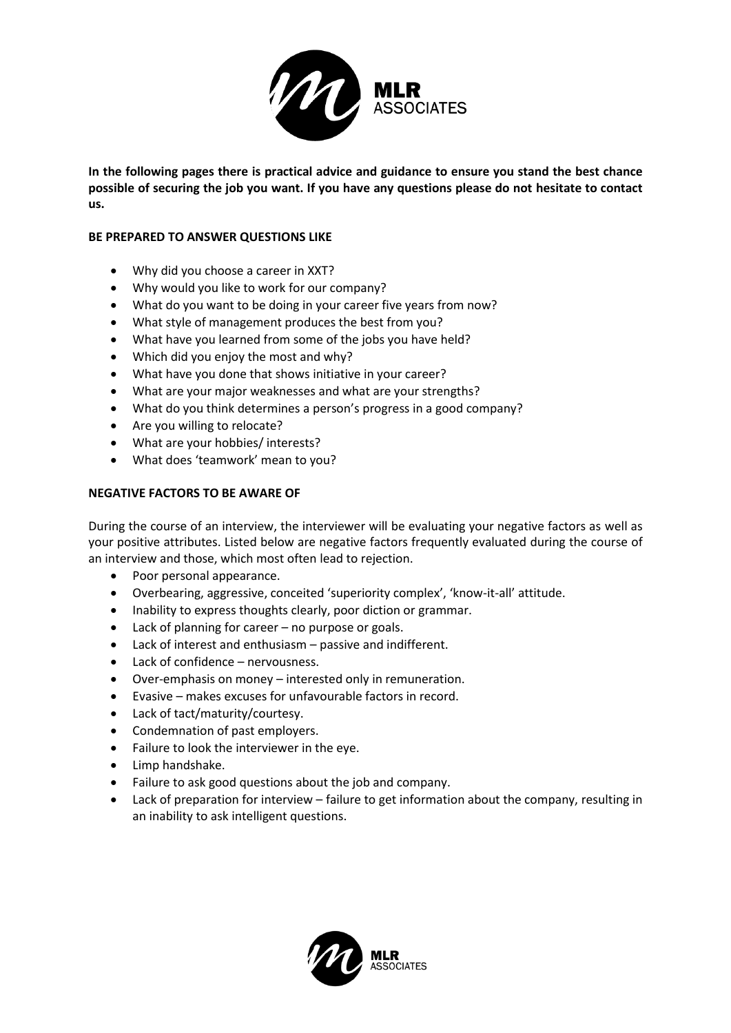

**In the following pages there is practical advice and guidance to ensure you stand the best chance possible of securing the job you want. If you have any questions please do not hesitate to contact us.**

## **BE PREPARED TO ANSWER QUESTIONS LIKE**

- Why did you choose a career in XXT?
- Why would you like to work for our company?
- What do you want to be doing in your career five years from now?
- What style of management produces the best from you?
- What have you learned from some of the jobs you have held?
- Which did you enjoy the most and why?
- What have you done that shows initiative in your career?
- What are your major weaknesses and what are your strengths?
- What do you think determines a person's progress in a good company?
- Are you willing to relocate?
- What are your hobbies/ interests?
- What does 'teamwork' mean to you?

## **NEGATIVE FACTORS TO BE AWARE OF**

During the course of an interview, the interviewer will be evaluating your negative factors as well as your positive attributes. Listed below are negative factors frequently evaluated during the course of an interview and those, which most often lead to rejection.

- Poor personal appearance.
- Overbearing, aggressive, conceited 'superiority complex', 'know-it-all' attitude.
- Inability to express thoughts clearly, poor diction or grammar.
- Lack of planning for career no purpose or goals.
- Lack of interest and enthusiasm passive and indifferent.
- Lack of confidence nervousness.
- Over-emphasis on money interested only in remuneration.
- Evasive makes excuses for unfavourable factors in record.
- Lack of tact/maturity/courtesy.
- Condemnation of past employers.
- Failure to look the interviewer in the eye.
- Limp handshake.
- Failure to ask good questions about the job and company.
- Lack of preparation for interview failure to get information about the company, resulting in an inability to ask intelligent questions.

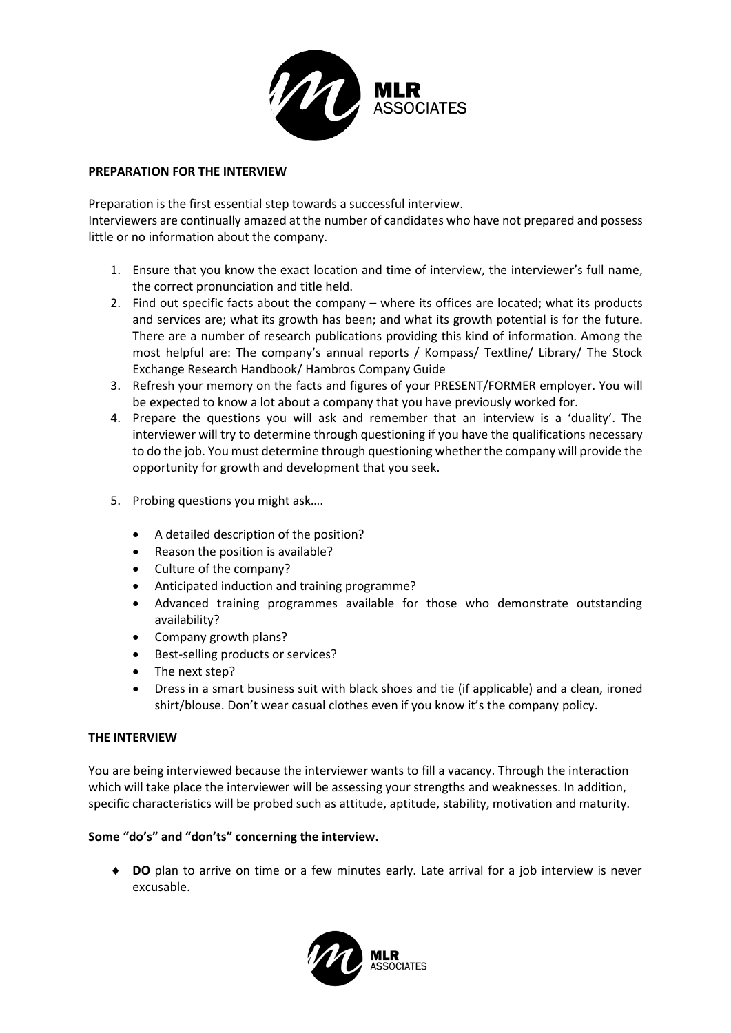

## **PREPARATION FOR THE INTERVIEW**

Preparation is the first essential step towards a successful interview.

Interviewers are continually amazed at the number of candidates who have not prepared and possess little or no information about the company.

- 1. Ensure that you know the exact location and time of interview, the interviewer's full name, the correct pronunciation and title held.
- 2. Find out specific facts about the company where its offices are located; what its products and services are; what its growth has been; and what its growth potential is for the future. There are a number of research publications providing this kind of information. Among the most helpful are: The company's annual reports / Kompass/ Textline/ Library/ The Stock Exchange Research Handbook/ Hambros Company Guide
- 3. Refresh your memory on the facts and figures of your PRESENT/FORMER employer. You will be expected to know a lot about a company that you have previously worked for.
- 4. Prepare the questions you will ask and remember that an interview is a 'duality'. The interviewer will try to determine through questioning if you have the qualifications necessary to do the job. You must determine through questioning whether the company will provide the opportunity for growth and development that you seek.
- 5. Probing questions you might ask….
	- A detailed description of the position?
	- Reason the position is available?
	- Culture of the company?
	- Anticipated induction and training programme?
	- Advanced training programmes available for those who demonstrate outstanding availability?
	- Company growth plans?
	- Best-selling products or services?
	- The next step?
	- Dress in a smart business suit with black shoes and tie (if applicable) and a clean, ironed shirt/blouse. Don't wear casual clothes even if you know it's the company policy.

## **THE INTERVIEW**

You are being interviewed because the interviewer wants to fill a vacancy. Through the interaction which will take place the interviewer will be assessing your strengths and weaknesses. In addition, specific characteristics will be probed such as attitude, aptitude, stability, motivation and maturity.

## **Some "do's" and "don'ts" concerning the interview.**

 **DO** plan to arrive on time or a few minutes early. Late arrival for a job interview is never excusable.

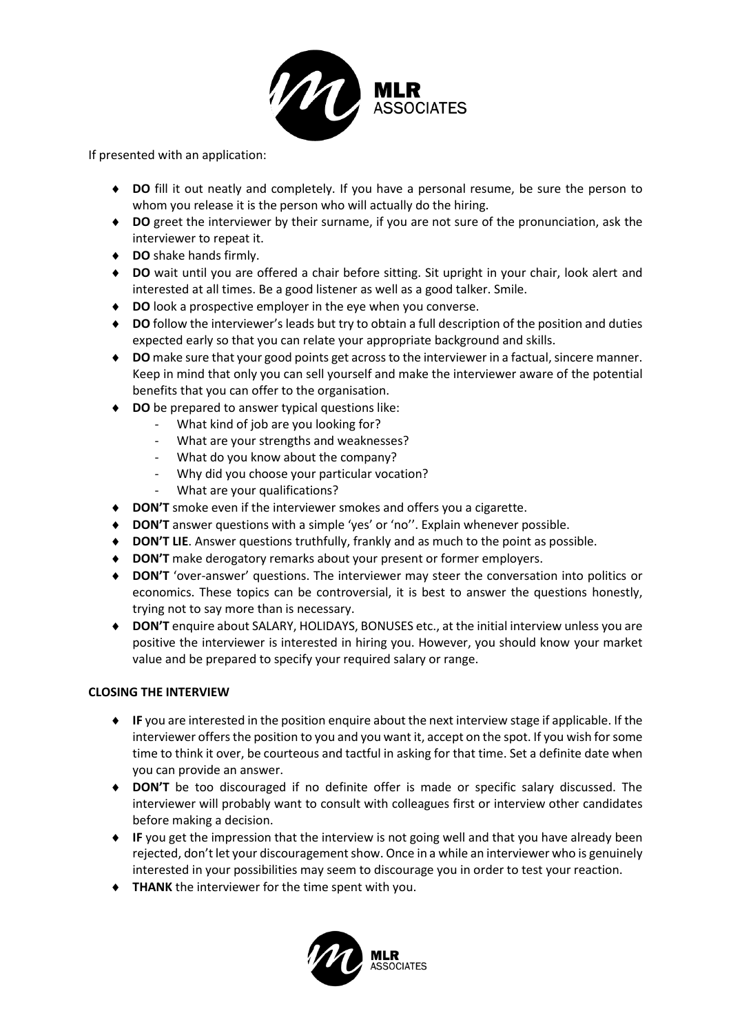

If presented with an application:

- **DO** fill it out neatly and completely. If you have a personal resume, be sure the person to whom you release it is the person who will actually do the hiring.
- **DO** greet the interviewer by their surname, if you are not sure of the pronunciation, ask the interviewer to repeat it.
- **DO** shake hands firmly.
- **DO** wait until you are offered a chair before sitting. Sit upright in your chair, look alert and interested at all times. Be a good listener as well as a good talker. Smile.
- ◆ **DO** look a prospective employer in the eye when you converse.
- **DO** follow the interviewer's leads but try to obtain a full description of the position and duties expected early so that you can relate your appropriate background and skills.
- **DO** make sure that your good points get across to the interviewer in a factual, sincere manner. Keep in mind that only you can sell yourself and make the interviewer aware of the potential benefits that you can offer to the organisation.
- ◆ **DO** be prepared to answer typical questions like:
	- What kind of job are you looking for?
	- What are your strengths and weaknesses?
	- What do you know about the company?
	- Why did you choose your particular vocation?
	- What are your qualifications?
- ◆ **DON'T** smoke even if the interviewer smokes and offers you a cigarette.
- **DON'T** answer questions with a simple 'yes' or 'no''. Explain whenever possible.
- **DON'T LIE**. Answer questions truthfully, frankly and as much to the point as possible.
- **DON'T** make derogatory remarks about your present or former employers.
- **DON'T** 'over-answer' questions. The interviewer may steer the conversation into politics or economics. These topics can be controversial, it is best to answer the questions honestly, trying not to say more than is necessary.
- **DON'T** enquire about SALARY, HOLIDAYS, BONUSES etc., at the initial interview unless you are positive the interviewer is interested in hiring you. However, you should know your market value and be prepared to specify your required salary or range.

# **CLOSING THE INTERVIEW**

- **IF** you are interested in the position enquire about the next interview stage if applicable. If the interviewer offers the position to you and you want it, accept on the spot. If you wish for some time to think it over, be courteous and tactful in asking for that time. Set a definite date when you can provide an answer.
- **DON'T** be too discouraged if no definite offer is made or specific salary discussed. The interviewer will probably want to consult with colleagues first or interview other candidates before making a decision.
- ◆ **IF** you get the impression that the interview is not going well and that you have already been rejected, don't let your discouragement show. Once in a while an interviewer who is genuinely interested in your possibilities may seem to discourage you in order to test your reaction.
- **THANK** the interviewer for the time spent with you.

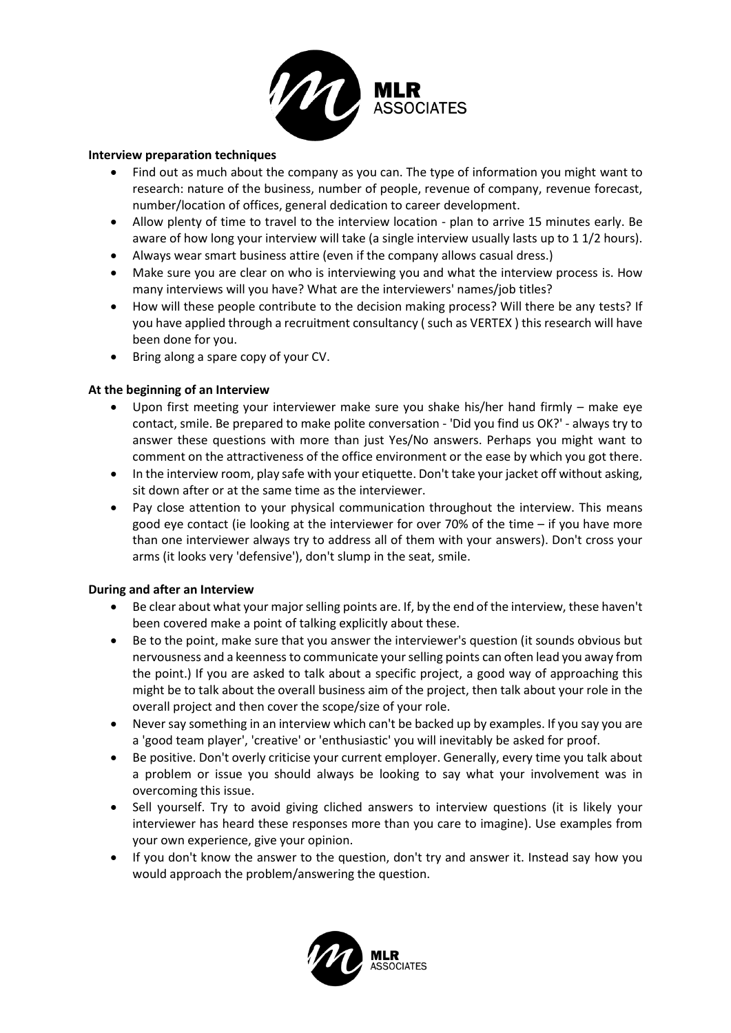

#### **Interview preparation techniques**

- Find out as much about the company as you can. The type of information you might want to research: nature of the business, number of people, revenue of company, revenue forecast, number/location of offices, general dedication to career development.
- Allow plenty of time to travel to the interview location plan to arrive 15 minutes early. Be aware of how long your interview will take (a single interview usually lasts up to 1 1/2 hours).
- Always wear smart business attire (even if the company allows casual dress.)
- Make sure you are clear on who is interviewing you and what the interview process is. How many interviews will you have? What are the interviewers' names/job titles?
- How will these people contribute to the decision making process? Will there be any tests? If you have applied through a recruitment consultancy ( such as VERTEX ) this research will have been done for you.
- Bring along a spare copy of your CV.

## **At the beginning of an Interview**

- Upon first meeting your interviewer make sure you shake his/her hand firmly make eye contact, smile. Be prepared to make polite conversation - 'Did you find us OK?' - always try to answer these questions with more than just Yes/No answers. Perhaps you might want to comment on the attractiveness of the office environment or the ease by which you got there.
- In the interview room, play safe with your etiquette. Don't take your jacket off without asking, sit down after or at the same time as the interviewer.
- Pay close attention to your physical communication throughout the interview. This means good eye contact (ie looking at the interviewer for over 70% of the time – if you have more than one interviewer always try to address all of them with your answers). Don't cross your arms (it looks very 'defensive'), don't slump in the seat, smile.

## **During and after an Interview**

- Be clear about what your major selling points are. If, by the end of the interview, these haven't been covered make a point of talking explicitly about these.
- Be to the point, make sure that you answer the interviewer's question (it sounds obvious but nervousness and a keenness to communicate your selling points can often lead you away from the point.) If you are asked to talk about a specific project, a good way of approaching this might be to talk about the overall business aim of the project, then talk about your role in the overall project and then cover the scope/size of your role.
- Never say something in an interview which can't be backed up by examples. If you say you are a 'good team player', 'creative' or 'enthusiastic' you will inevitably be asked for proof.
- Be positive. Don't overly criticise your current employer. Generally, every time you talk about a problem or issue you should always be looking to say what your involvement was in overcoming this issue.
- Sell yourself. Try to avoid giving cliched answers to interview questions (it is likely your interviewer has heard these responses more than you care to imagine). Use examples from your own experience, give your opinion.
- If you don't know the answer to the question, don't try and answer it. Instead say how you would approach the problem/answering the question.

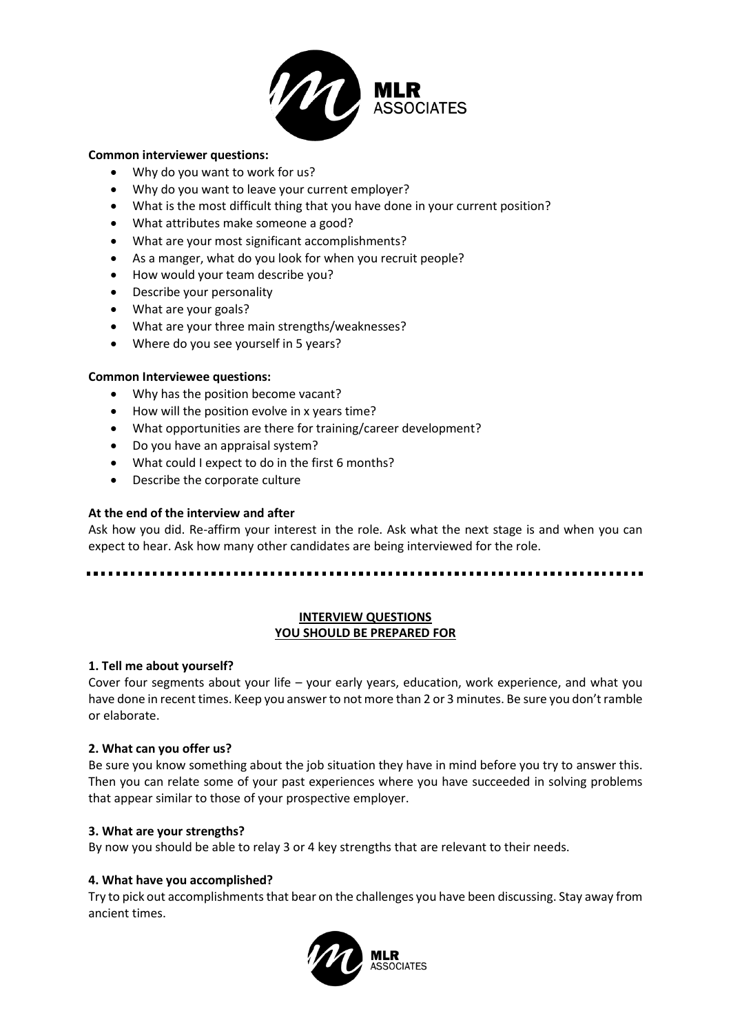

#### **Common interviewer questions:**

- Why do you want to work for us?
- Why do you want to leave your current employer?
- What is the most difficult thing that you have done in your current position?
- What attributes make someone a good?
- What are your most significant accomplishments?
- As a manger, what do you look for when you recruit people?
- How would your team describe you?
- Describe your personality
- What are your goals?
- What are your three main strengths/weaknesses?
- Where do you see yourself in 5 years?

## **Common Interviewee questions:**

- Why has the position become vacant?
- How will the position evolve in x years time?
- What opportunities are there for training/career development?
- Do you have an appraisal system?
- What could I expect to do in the first 6 months?
- Describe the corporate culture

## **At the end of the interview and after**

Ask how you did. Re-affirm your interest in the role. Ask what the next stage is and when you can expect to hear. Ask how many other candidates are being interviewed for the role.

## **INTERVIEW QUESTIONS YOU SHOULD BE PREPARED FOR**

## **1. Tell me about yourself?**

Cover four segments about your life – your early years, education, work experience, and what you have done in recent times. Keep you answer to not more than 2 or 3 minutes. Be sure you don't ramble or elaborate.

## **2. What can you offer us?**

Be sure you know something about the job situation they have in mind before you try to answer this. Then you can relate some of your past experiences where you have succeeded in solving problems that appear similar to those of your prospective employer.

## **3. What are your strengths?**

By now you should be able to relay 3 or 4 key strengths that are relevant to their needs.

## **4. What have you accomplished?**

Try to pick out accomplishments that bear on the challenges you have been discussing. Stay away from ancient times.

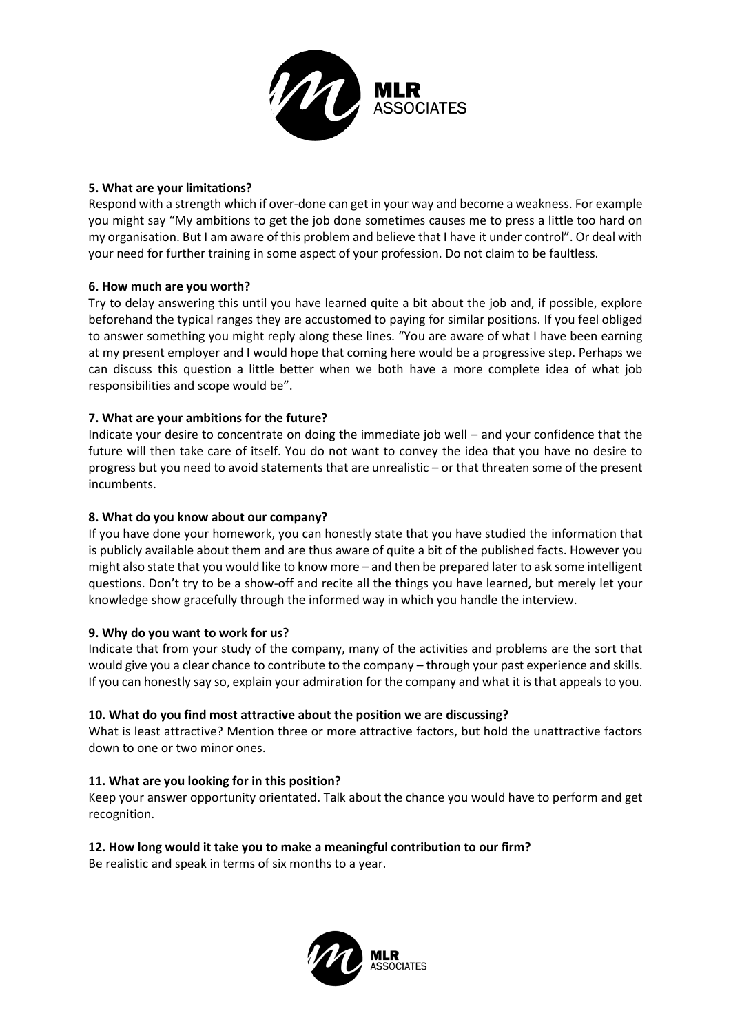

## **5. What are your limitations?**

Respond with a strength which if over-done can get in your way and become a weakness. For example you might say "My ambitions to get the job done sometimes causes me to press a little too hard on my organisation. But I am aware of this problem and believe that I have it under control". Or deal with your need for further training in some aspect of your profession. Do not claim to be faultless.

## **6. How much are you worth?**

Try to delay answering this until you have learned quite a bit about the job and, if possible, explore beforehand the typical ranges they are accustomed to paying for similar positions. If you feel obliged to answer something you might reply along these lines. "You are aware of what I have been earning at my present employer and I would hope that coming here would be a progressive step. Perhaps we can discuss this question a little better when we both have a more complete idea of what job responsibilities and scope would be".

## **7. What are your ambitions for the future?**

Indicate your desire to concentrate on doing the immediate job well – and your confidence that the future will then take care of itself. You do not want to convey the idea that you have no desire to progress but you need to avoid statements that are unrealistic – or that threaten some of the present incumbents.

## **8. What do you know about our company?**

If you have done your homework, you can honestly state that you have studied the information that is publicly available about them and are thus aware of quite a bit of the published facts. However you might also state that you would like to know more – and then be prepared later to ask some intelligent questions. Don't try to be a show-off and recite all the things you have learned, but merely let your knowledge show gracefully through the informed way in which you handle the interview.

## **9. Why do you want to work for us?**

Indicate that from your study of the company, many of the activities and problems are the sort that would give you a clear chance to contribute to the company – through your past experience and skills. If you can honestly say so, explain your admiration for the company and what it is that appeals to you.

## **10. What do you find most attractive about the position we are discussing?**

What is least attractive? Mention three or more attractive factors, but hold the unattractive factors down to one or two minor ones.

## **11. What are you looking for in this position?**

Keep your answer opportunity orientated. Talk about the chance you would have to perform and get recognition.

# **12. How long would it take you to make a meaningful contribution to our firm?**

Be realistic and speak in terms of six months to a year.

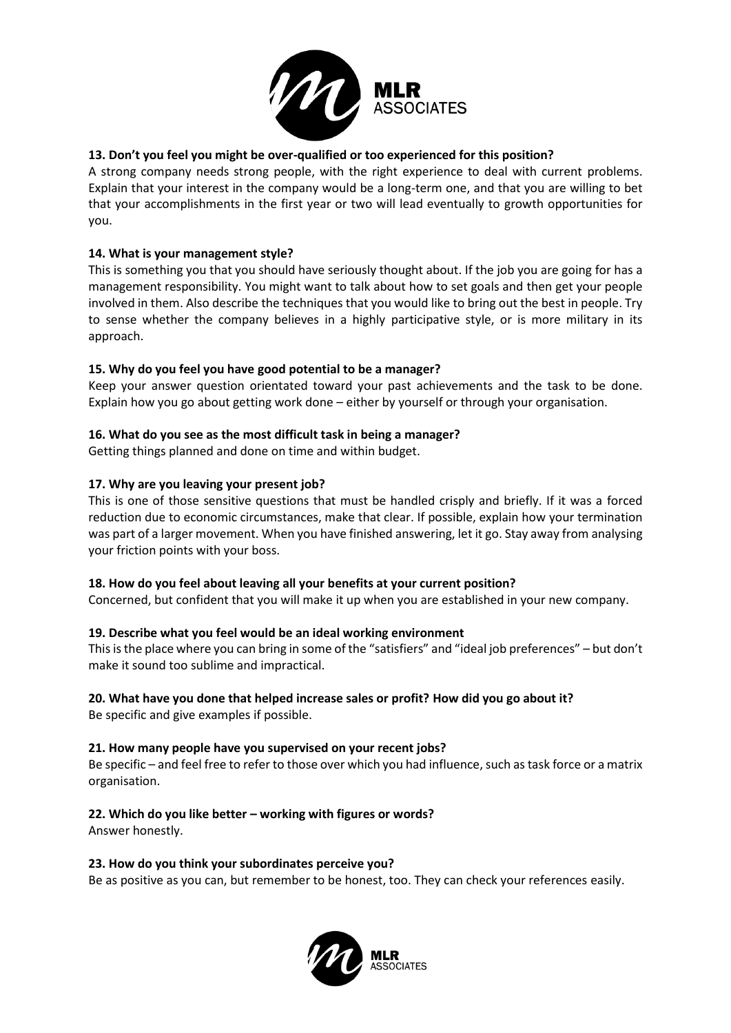

# **13. Don't you feel you might be over-qualified or too experienced for this position?**

A strong company needs strong people, with the right experience to deal with current problems. Explain that your interest in the company would be a long-term one, and that you are willing to bet that your accomplishments in the first year or two will lead eventually to growth opportunities for you.

# **14. What is your management style?**

This is something you that you should have seriously thought about. If the job you are going for has a management responsibility. You might want to talk about how to set goals and then get your people involved in them. Also describe the techniques that you would like to bring out the best in people. Try to sense whether the company believes in a highly participative style, or is more military in its approach.

# **15. Why do you feel you have good potential to be a manager?**

Keep your answer question orientated toward your past achievements and the task to be done. Explain how you go about getting work done – either by yourself or through your organisation.

# **16. What do you see as the most difficult task in being a manager?**

Getting things planned and done on time and within budget.

# **17. Why are you leaving your present job?**

This is one of those sensitive questions that must be handled crisply and briefly. If it was a forced reduction due to economic circumstances, make that clear. If possible, explain how your termination was part of a larger movement. When you have finished answering, let it go. Stay away from analysing your friction points with your boss.

# **18. How do you feel about leaving all your benefits at your current position?**

Concerned, but confident that you will make it up when you are established in your new company.

# **19. Describe what you feel would be an ideal working environment**

This is the place where you can bring in some of the "satisfiers" and "ideal job preferences" – but don't make it sound too sublime and impractical.

# **20. What have you done that helped increase sales or profit? How did you go about it?**

Be specific and give examples if possible.

# **21. How many people have you supervised on your recent jobs?**

Be specific – and feel free to refer to those over which you had influence, such as task force or a matrix organisation.

**22. Which do you like better – working with figures or words?** Answer honestly.

# **23. How do you think your subordinates perceive you?**

Be as positive as you can, but remember to be honest, too. They can check your references easily.